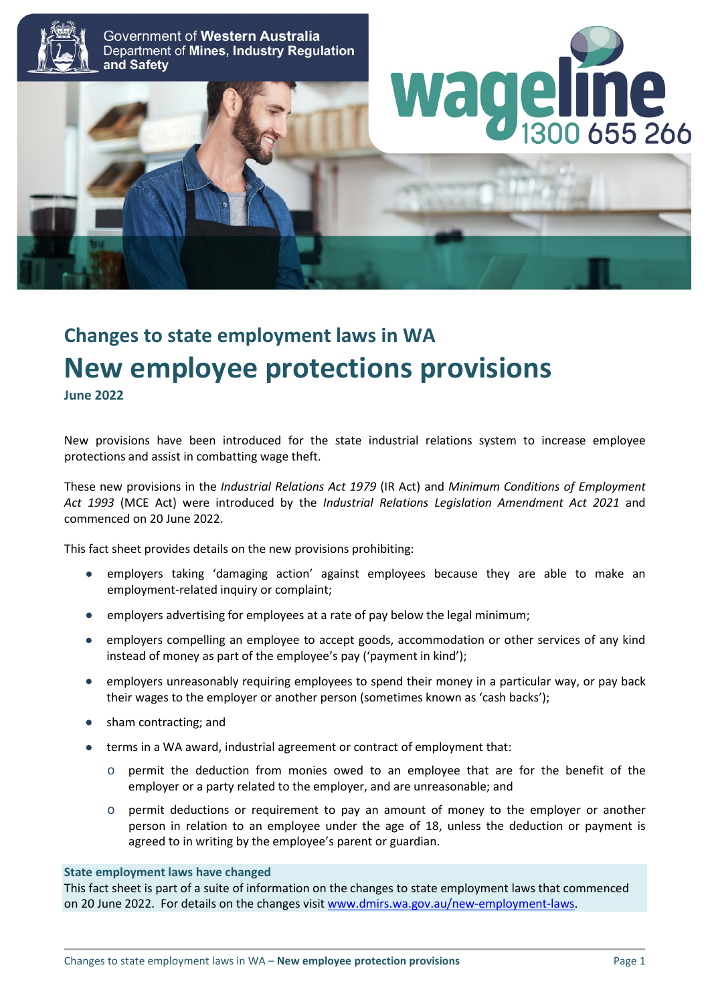

Government of Western Australia Department of Mines, Industry Regulation and Safety





# **Changes to state employment laws in WA New employee protections provisions June 2022**

New provisions have been introduced for the state industrial relations system to increase employee protections and assist in combatting wage theft.

These new provisions in the *Industrial Relations Act 1979* (IR Act) and *Minimum Conditions of Employment Act 1993* (MCE Act) were introduced by the *Industrial Relations Legislation Amendment Act 2021* and commenced on 20 June 2022.

This fact sheet provides details on the new provisions prohibiting:

- employers taking 'damaging action' against employees because they are able to make an employment-related inquiry or complaint;
- employers advertising for employees at a rate of pay below the legal minimum;
- employers compelling an employee to accept goods, accommodation or other services of any kind instead of money as part of the employee's pay ('payment in kind');
- employers unreasonably requiring employees to spend their money in a particular way, or pay back their wages to the employer or another person (sometimes known as 'cash backs');
- sham contracting; and
- terms in a WA award, industrial agreement or contract of employment that:
	- o permit the deduction from monies owed to an employee that are for the benefit of the employer or a party related to the employer, and are unreasonable; and
	- $\circ$  permit deductions or requirement to pay an amount of money to the employer or another person in relation to an employee under the age of 18, unless the deduction or payment is agreed to in writing by the employee's parent or guardian.

#### **State employment laws have changed**

This fact sheet is part of a suite of information on the changes to state employment laws that commenced on 20 June 2022. For details on the changes visit [www.dmirs.wa.gov.au/new-employment-laws.](http://www.dmirs.wa.gov.au/new-employment-laws)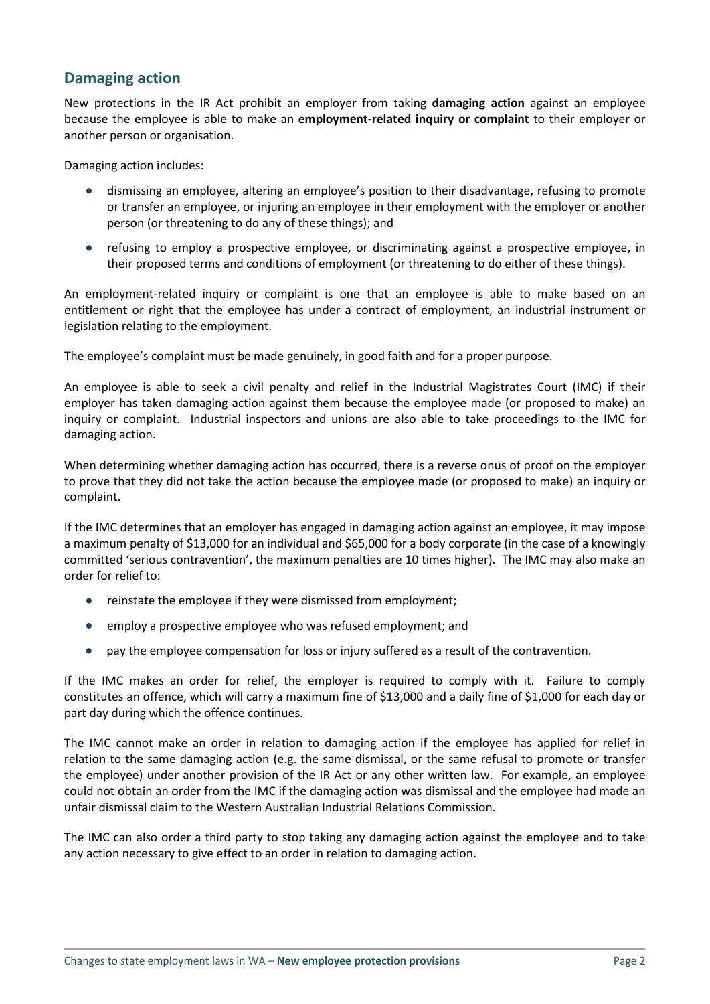## **Damaging action**

New protections in the IR Act prohibit an employer from taking **damaging action** against an employee because the employee is able to make an **employment-related inquiry or complaint** to their employer or another person or organisation.

Damaging action includes:

- dismissing an employee, altering an employee's position to their disadvantage, refusing to promote or transfer an employee, or injuring an employee in their employment with the employer or another person (or threatening to do any of these things); and
- refusing to employ a prospective employee, or discriminating against a prospective employee, in their proposed terms and conditions of employment (or threatening to do either of these things).

An employment-related inquiry or complaint is one that an employee is able to make based on an entitlement or right that the employee has under a contract of employment, an industrial instrument or legislation relating to the employment.

The employee's complaint must be made genuinely, in good faith and for a proper purpose.

An employee is able to seek a civil penalty and relief in the Industrial Magistrates Court (IMC) if their employer has taken damaging action against them because the employee made (or proposed to make) an inquiry or complaint. Industrial inspectors and unions are also able to take proceedings to the IMC for damaging action.

When determining whether damaging action has occurred, there is a reverse onus of proof on the employer to prove that they did not take the action because the employee made (or proposed to make) an inquiry or complaint.

If the IMC determines that an employer has engaged in damaging action against an employee, it may impose a maximum penalty of \$13,000 for an individual and \$65,000 for a body corporate (in the case of a knowingly committed 'serious contravention', the maximum penalties are 10 times higher). The IMC may also make an order for relief to:

- reinstate the employee if they were dismissed from employment;
- employ a prospective employee who was refused employment; and
- pay the employee compensation for loss or injury suffered as a result of the contravention.

If the IMC makes an order for relief, the employer is required to comply with it. Failure to comply constitutes an offence, which will carry a maximum fine of \$13,000 and a daily fine of \$1,000 for each day or part day during which the offence continues.

The IMC cannot make an order in relation to damaging action if the employee has applied for relief in relation to the same damaging action (e.g. the same dismissal, or the same refusal to promote or transfer the employee) under another provision of the IR Act or any other written law. For example, an employee could not obtain an order from the IMC if the damaging action was dismissal and the employee had made an unfair dismissal claim to the Western Australian Industrial Relations Commission.

The IMC can also order a third party to stop taking any damaging action against the employee and to take any action necessary to give effect to an order in relation to damaging action.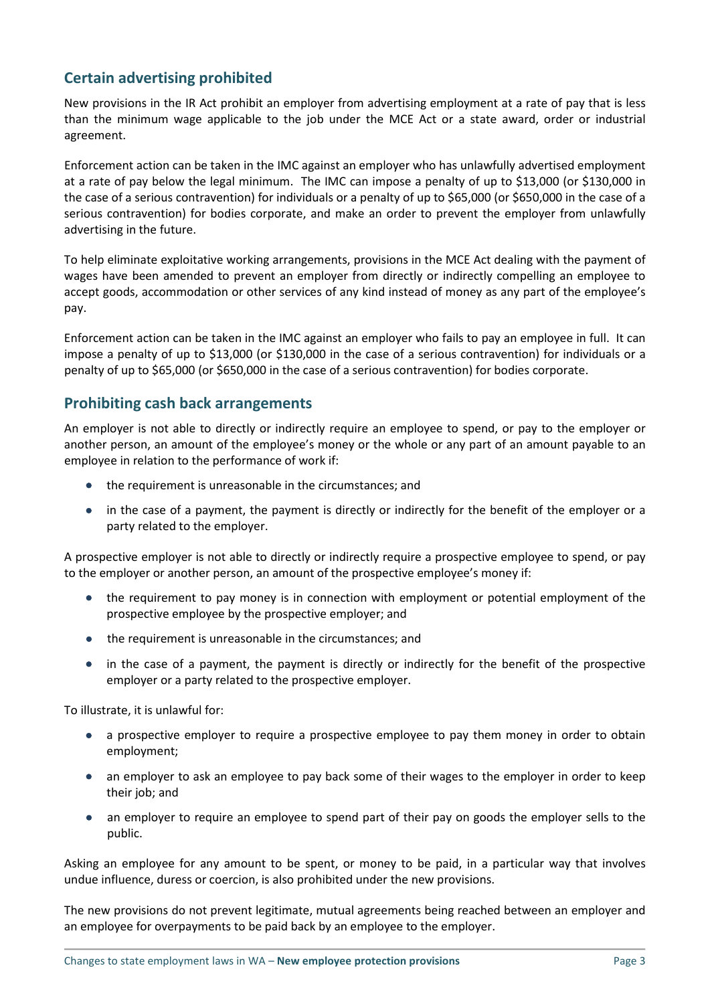## **Certain advertising prohibited**

New provisions in the IR Act prohibit an employer from advertising employment at a rate of pay that is less than the minimum wage applicable to the job under the MCE Act or a state award, order or industrial agreement.

Enforcement action can be taken in the IMC against an employer who has unlawfully advertised employment at a rate of pay below the legal minimum. The IMC can impose a penalty of up to \$13,000 (or \$130,000 in the case of a serious contravention) for individuals or a penalty of up to \$65,000 (or \$650,000 in the case of a serious contravention) for bodies corporate, and make an order to prevent the employer from unlawfully advertising in the future.

To help eliminate exploitative working arrangements, provisions in the MCE Act dealing with the payment of wages have been amended to prevent an employer from directly or indirectly compelling an employee to accept goods, accommodation or other services of any kind instead of money as any part of the employee's pay.

Enforcement action can be taken in the IMC against an employer who fails to pay an employee in full. It can impose a penalty of up to \$13,000 (or \$130,000 in the case of a serious contravention) for individuals or a penalty of up to \$65,000 (or \$650,000 in the case of a serious contravention) for bodies corporate.

#### **Prohibiting cash back arrangements**

An employer is not able to directly or indirectly require an employee to spend, or pay to the employer or another person, an amount of the employee's money or the whole or any part of an amount payable to an employee in relation to the performance of work if:

- the requirement is unreasonable in the circumstances; and
- in the case of a payment, the payment is directly or indirectly for the benefit of the employer or a party related to the employer.

A prospective employer is not able to directly or indirectly require a prospective employee to spend, or pay to the employer or another person, an amount of the prospective employee's money if:

- the requirement to pay money is in connection with employment or potential employment of the prospective employee by the prospective employer; and
- the requirement is unreasonable in the circumstances; and
- in the case of a payment, the payment is directly or indirectly for the benefit of the prospective employer or a party related to the prospective employer.

To illustrate, it is unlawful for:

- a prospective employer to require a prospective employee to pay them money in order to obtain employment;
- an employer to ask an employee to pay back some of their wages to the employer in order to keep their job; and
- an employer to require an employee to spend part of their pay on goods the employer sells to the public.

Asking an employee for any amount to be spent, or money to be paid, in a particular way that involves undue influence, duress or coercion, is also prohibited under the new provisions.

The new provisions do not prevent legitimate, mutual agreements being reached between an employer and an employee for overpayments to be paid back by an employee to the employer.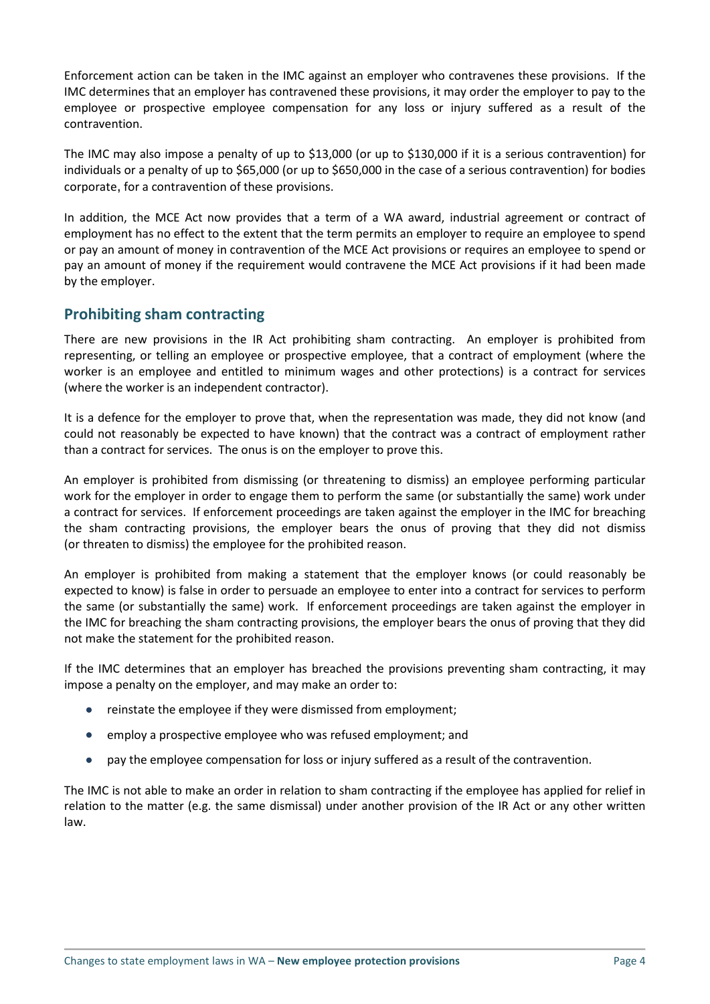Enforcement action can be taken in the IMC against an employer who contravenes these provisions. If the IMC determines that an employer has contravened these provisions, it may order the employer to pay to the employee or prospective employee compensation for any loss or injury suffered as a result of the contravention.

The IMC may also impose a penalty of up to \$13,000 (or up to \$130,000 if it is a serious contravention) for individuals or a penalty of up to \$65,000 (or up to \$650,000 in the case of a serious contravention) for bodies corporate, for a contravention of these provisions.

In addition, the MCE Act now provides that a term of a WA award, industrial agreement or contract of employment has no effect to the extent that the term permits an employer to require an employee to spend or pay an amount of money in contravention of the MCE Act provisions or requires an employee to spend or pay an amount of money if the requirement would contravene the MCE Act provisions if it had been made by the employer.

## **Prohibiting sham contracting**

There are new provisions in the IR Act prohibiting sham contracting. An employer is prohibited from representing, or telling an employee or prospective employee, that a contract of employment (where the worker is an employee and entitled to minimum wages and other protections) is a contract for services (where the worker is an independent contractor).

It is a defence for the employer to prove that, when the representation was made, they did not know (and could not reasonably be expected to have known) that the contract was a contract of employment rather than a contract for services. The onus is on the employer to prove this.

An employer is prohibited from dismissing (or threatening to dismiss) an employee performing particular work for the employer in order to engage them to perform the same (or substantially the same) work under a contract for services. If enforcement proceedings are taken against the employer in the IMC for breaching the sham contracting provisions, the employer bears the onus of proving that they did not dismiss (or threaten to dismiss) the employee for the prohibited reason.

An employer is prohibited from making a statement that the employer knows (or could reasonably be expected to know) is false in order to persuade an employee to enter into a contract for services to perform the same (or substantially the same) work. If enforcement proceedings are taken against the employer in the IMC for breaching the sham contracting provisions, the employer bears the onus of proving that they did not make the statement for the prohibited reason.

If the IMC determines that an employer has breached the provisions preventing sham contracting, it may impose a penalty on the employer, and may make an order to:

- reinstate the employee if they were dismissed from employment;
- employ a prospective employee who was refused employment; and
- pay the employee compensation for loss or injury suffered as a result of the contravention.

The IMC is not able to make an order in relation to sham contracting if the employee has applied for relief in relation to the matter (e.g. the same dismissal) under another provision of the IR Act or any other written law.